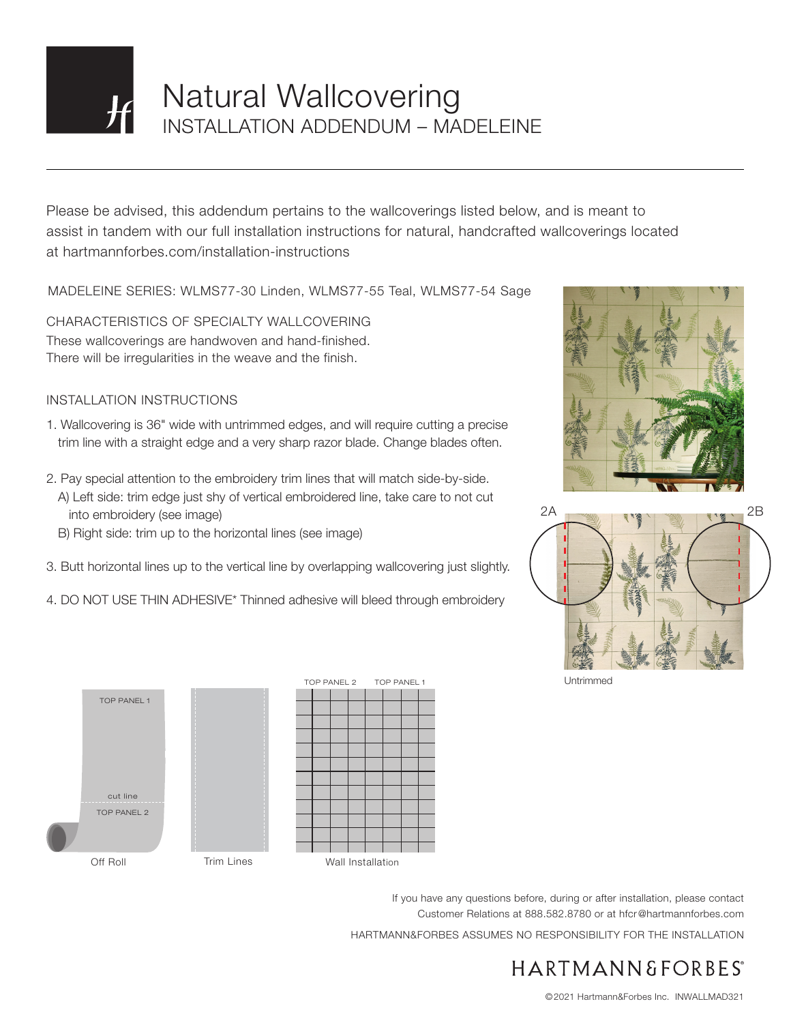

# Natural Wallcovering INSTALLATION ADDENDUM – MADELEINE

Please be advised, this addendum pertains to the wallcoverings listed below, and is meant to assist in tandem with our full installation instructions for natural, handcrafted wallcoverings located at hartmannforbes.com/installation-instructions

MADELEINE SERIES: WLMS77-30 Linden, WLMS77-55 Teal, WLMS77-54 Sage

CHARACTERISTICS OF SPECIALTY WALLCOVERING These wallcoverings are handwoven and hand-finished. There will be irregularities in the weave and the finish.

### INSTALLATION INSTRUCTIONS

- 1. Wallcovering is 36" wide with untrimmed edges, and will require cutting a precise trim line with a straight edge and a very sharp razor blade. Change blades often.
- 2. Pay special attention to the embroidery trim lines that will match side-by-side. A) Left side: trim edge just shy of vertical embroidered line, take care to not cut into embroidery (see image)
	- B) Right side: trim up to the horizontal lines (see image)
- 3. Butt horizontal lines up to the vertical line by overlapping wallcovering just slightly.
- 4. DO NOT USE THIN ADHESIVE\* Thinned adhesive will bleed through embroidery









Untrimmed

If you have any questions before, during or after installation, please contact Customer Relations at 888.582.8780 or at hfcr@hartmannforbes.com

HARTMANN&FORBES ASSUMES NO RESPONSIBILITY FOR THE INSTALLATION

## HARTMANN&FORBES®

©2021 Hartmann&Forbes Inc. INWALLMAD321